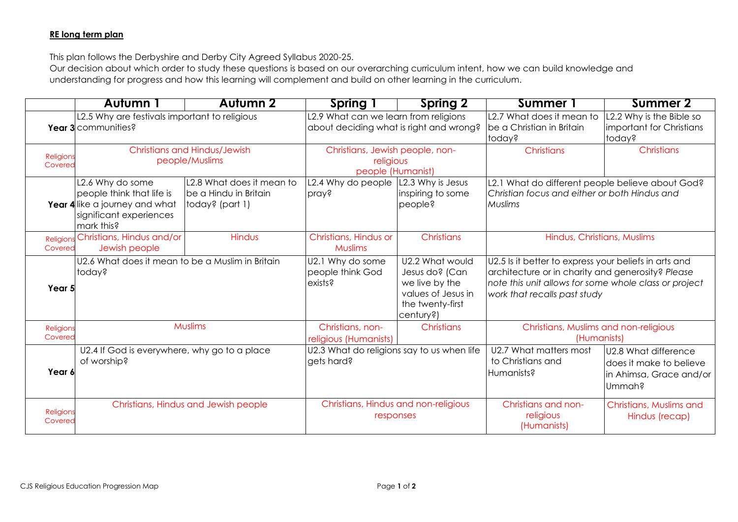## **RE long term plan**

This plan follows the Derbyshire and Derby City Agreed Syllabus 2020-25.

Our decision about which order to study these questions is based on our overarching curriculum intent, how we can build knowledge and understanding for progress and how this learning will complement and build on other learning in the curriculum.

|                      | <b>Autumn 1</b>                                                         | <b>Autumn 2</b>           | Spring 1                                                                                     | <b>Spring 2</b>                      | <b>Summer 1</b>                                                                       | <b>Summer 2</b>                    |
|----------------------|-------------------------------------------------------------------------|---------------------------|----------------------------------------------------------------------------------------------|--------------------------------------|---------------------------------------------------------------------------------------|------------------------------------|
|                      | L2.5 Why are festivals important to religious                           |                           | L2.9 What can we learn from religions                                                        |                                      | L2.7 What does it mean to                                                             | L2.2 Why is the Bible so           |
|                      | Year 3 communities?                                                     |                           | about deciding what is right and wrong?                                                      |                                      | be a Christian in Britain<br>today?                                                   | important for Christians<br>today? |
| Religions            | <b>Christians and Hindus/Jewish</b>                                     |                           | Christians, Jewish people, non-                                                              |                                      | Christians                                                                            | <b>Christians</b>                  |
| Covered              | people/Muslims                                                          |                           | religious<br>people (Humanist)                                                               |                                      |                                                                                       |                                    |
|                      | L2.6 Why do some                                                        | L2.8 What does it mean to | L2.4 Why do people                                                                           | L2.3 Why is Jesus                    | L2.1 What do different people believe about God?                                      |                                    |
|                      | people think that life is                                               | be a Hindu in Britain     | pray?                                                                                        | inspiring to some                    | Christian focus and either or both Hindus and                                         |                                    |
|                      | Year 4 like a journey and what<br>significant experiences<br>mark this? | today? (part 1)           |                                                                                              | people?                              | Muslims                                                                               |                                    |
| Religions            | Christians, Hindus and/or                                               | Hindus                    | Christians, Hindus or                                                                        | <b>Christians</b>                    | Hindus, Christians, Muslims                                                           |                                    |
| Covered              | Jewish people                                                           |                           | Muslims                                                                                      |                                      |                                                                                       |                                    |
|                      | U2.6 What does it mean to be a Muslim in Britain                        |                           | U2.2 What would<br>U2.1 Why do some<br>U2.5 Is it better to express your beliefs in arts and |                                      |                                                                                       |                                    |
|                      | today?                                                                  |                           | people think God                                                                             | Jesus do? (Can                       | architecture or in charity and generosity? Please                                     |                                    |
| Year 5               |                                                                         |                           | exists?                                                                                      | we live by the<br>values of Jesus in | note this unit allows for some whole class or project<br>work that recalls past study |                                    |
|                      |                                                                         |                           |                                                                                              | the twenty-first                     |                                                                                       |                                    |
|                      |                                                                         |                           |                                                                                              | century?)                            |                                                                                       |                                    |
| Religions            | Muslims                                                                 |                           | Christians, non-                                                                             | Christians                           | Christians, Muslims and non-religious                                                 |                                    |
| Covered              |                                                                         |                           | religious (Humanists)                                                                        |                                      | (Humanists)                                                                           |                                    |
|                      | U2.4 If God is everywhere, why go to a place                            |                           | U2.3 What do religions say to us when life                                                   |                                      | U2.7 What matters most                                                                | U2.8 What difference               |
|                      | of worship?                                                             |                           | gets hard?                                                                                   |                                      | to Christians and                                                                     | does it make to believe            |
| Year 6               |                                                                         |                           |                                                                                              |                                      | Humanists?                                                                            | in Ahimsa, Grace and/or            |
|                      |                                                                         |                           |                                                                                              |                                      |                                                                                       | Ummah?                             |
|                      | Christians, Hindus and Jewish people                                    |                           | Christians, Hindus and non-religious<br>responses                                            |                                      | Christians and non-                                                                   | Christians, Muslims and            |
| Religions<br>Covered |                                                                         |                           |                                                                                              |                                      | religious                                                                             | Hindus (recap)                     |
|                      |                                                                         |                           |                                                                                              |                                      | (Humanists)                                                                           |                                    |